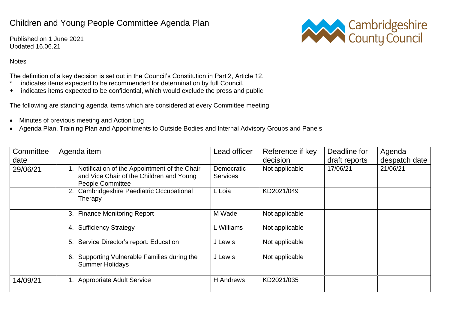## Children and Young People Committee Agenda Plan

Published on 1 June 2021 Updated 16.06.21



## **Notes**

The definition of a key decision is set out in the Council's Constitution in Part 2, Article 12.

- \* indicates items expected to be recommended for determination by full Council.
- + indicates items expected to be confidential, which would exclude the press and public.

The following are standing agenda items which are considered at every Committee meeting:

- Minutes of previous meeting and Action Log
- Agenda Plan, Training Plan and Appointments to Outside Bodies and Internal Advisory Groups and Panels

| Committee<br>date | Agenda item                                                                                                            | Lead officer                  | Reference if key<br>decision | Deadline for<br>draft reports | Agenda<br>despatch date |
|-------------------|------------------------------------------------------------------------------------------------------------------------|-------------------------------|------------------------------|-------------------------------|-------------------------|
| 29/06/21          | 1. Notification of the Appointment of the Chair<br>and Vice Chair of the Children and Young<br><b>People Committee</b> | Democratic<br><b>Services</b> | Not applicable               | 17/06/21                      | 21/06/21                |
|                   | 2. Cambridgeshire Paediatric Occupational<br>Therapy                                                                   | L Loia                        | KD2021/049                   |                               |                         |
|                   | 3. Finance Monitoring Report                                                                                           | M Wade                        | Not applicable               |                               |                         |
|                   | 4. Sufficiency Strategy                                                                                                | L Williams                    | Not applicable               |                               |                         |
|                   | 5. Service Director's report: Education                                                                                | J Lewis                       | Not applicable               |                               |                         |
|                   | 6. Supporting Vulnerable Families during the<br><b>Summer Holidays</b>                                                 | J Lewis                       | Not applicable               |                               |                         |
| 14/09/21          | 1. Appropriate Adult Service                                                                                           | H Andrews                     | KD2021/035                   |                               |                         |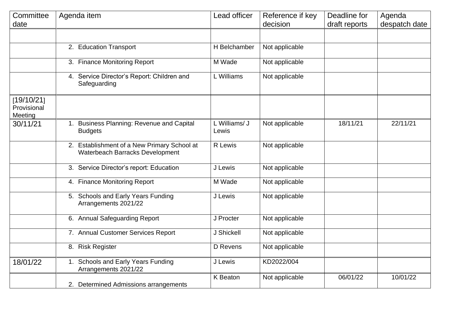| Committee                            | Agenda item                                                                    | Lead officer           | Reference if key | Deadline for  | Agenda        |
|--------------------------------------|--------------------------------------------------------------------------------|------------------------|------------------|---------------|---------------|
| date                                 |                                                                                |                        | decision         | draft reports | despatch date |
|                                      |                                                                                |                        |                  |               |               |
|                                      | 2. Education Transport                                                         | H Belchamber           | Not applicable   |               |               |
|                                      | 3. Finance Monitoring Report                                                   | M Wade                 | Not applicable   |               |               |
|                                      | 4. Service Director's Report: Children and<br>Safeguarding                     | L Williams             | Not applicable   |               |               |
| [19/10/21]<br>Provisional<br>Meeting |                                                                                |                        |                  |               |               |
| 30/11/21                             | 1. Business Planning: Revenue and Capital<br><b>Budgets</b>                    | L Williams/ J<br>Lewis | Not applicable   | 18/11/21      | 22/11/21      |
|                                      | 2. Establishment of a New Primary School at<br>Waterbeach Barracks Development | R Lewis                | Not applicable   |               |               |
|                                      | 3. Service Director's report: Education                                        | J Lewis                | Not applicable   |               |               |
|                                      | 4. Finance Monitoring Report                                                   | M Wade                 | Not applicable   |               |               |
|                                      | 5. Schools and Early Years Funding<br>Arrangements 2021/22                     | J Lewis                | Not applicable   |               |               |
|                                      | 6. Annual Safeguarding Report                                                  | J Procter              | Not applicable   |               |               |
|                                      | 7. Annual Customer Services Report                                             | J Shickell             | Not applicable   |               |               |
|                                      | 8. Risk Register                                                               | D Revens               | Not applicable   |               |               |
| 18/01/22                             | 1. Schools and Early Years Funding<br>Arrangements 2021/22                     | J Lewis                | KD2022/004       |               |               |
|                                      | 2. Determined Admissions arrangements                                          | <b>K</b> Beaton        | Not applicable   | 06/01/22      | 10/01/22      |